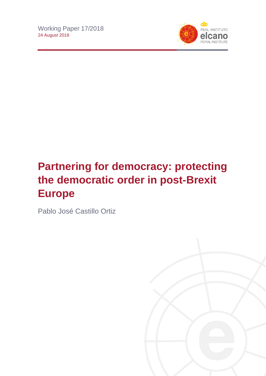

# **Partnering for democracy: protecting the democratic order in post-Brexit Europe**

Pablo José Castillo Ortiz

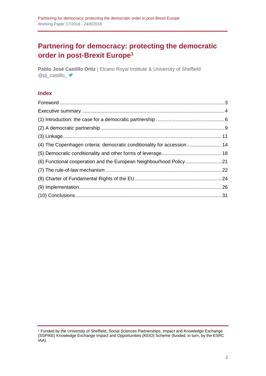## **Partnering for democracy: protecting the democratic order in post-Brexit Europe<sup>1</sup>**

**Pablo José Castillo Ortiz** | Elcano Royal Institute & University of Sheffield @pj\_castillo\_

## **Index**

| (4) The Copenhagen criteria: democratic conditionality for accession 14 |  |
|-------------------------------------------------------------------------|--|
|                                                                         |  |
|                                                                         |  |
|                                                                         |  |
|                                                                         |  |
|                                                                         |  |
|                                                                         |  |

<sup>1</sup> Funded by the University of Sheffield, Social Sciences Partnerships, Impact and Knowledge Exchange (SSPIKE) Knowledge Exchange Impact and Opportunities (KEIO) Scheme (funded, in turn, by the ESRC IAA).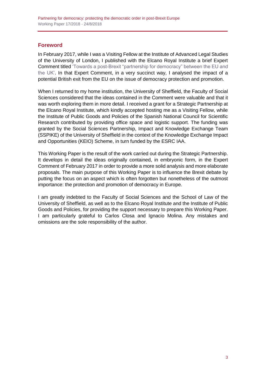## <span id="page-2-0"></span>**Foreword**

In February 2017, while I was a Visiting Fellow at the Institute of Advanced Legal Studies of the University of London, I published with the Elcano Royal Institute a brief Expert Comment title[d 'Towards a post-Brexit "partnership for democracy" between the EU and](http://www.realinstitutoelcano.org/wps/portal/rielcano_en/contenido?WCM_GLOBAL_CONTEXT=/elcano/elcano_in/zonas_in/commentary-castilloortiz-towards-post-brexit-partnership-for-democracy-between-eu-uk)  [the UK'.](http://www.realinstitutoelcano.org/wps/portal/rielcano_en/contenido?WCM_GLOBAL_CONTEXT=/elcano/elcano_in/zonas_in/commentary-castilloortiz-towards-post-brexit-partnership-for-democracy-between-eu-uk) In that Expert Comment, in a very succinct way, I analysed the impact of a potential British exit from the EU on the issue of democracy protection and promotion.

When I returned to my home institution, the University of Sheffield, the Faculty of Social Sciences considered that the ideas contained in the Comment were valuable and that it was worth exploring them in more detail. I received a grant for a Strategic Partnership at the Elcano Royal Institute, which kindly accepted hosting me as a Visiting Fellow, while the Institute of Public Goods and Policies of the Spanish National Council for Scientific Research contributed by providing office space and logistic support. The funding was granted by the Social Sciences Partnership, Impact and Knowledge Exchange Team (SSPIKE) of the University of Sheffield in the context of the Knowledge Exchange Impact and Opportunities (KEIO) Scheme, in turn funded by the ESRC IAA.

This Working Paper is the result of the work carried out during the Strategic Partnership. It develops in detail the ideas originally contained, in embryonic form, in the Expert Comment of February 2017 in order to provide a more solid analysis and more elaborate proposals. The main purpose of this Working Paper is to influence the Brexit debate by putting the focus on an aspect which is often forgotten but nonetheless of the outmost importance: the protection and promotion of democracy in Europe.

I am greatly indebted to the Faculty of Social Sciences and the School of Law of the University of Sheffield, as well as to the Elcano Royal Institute and the Institute of Public Goods and Policies, for providing the support necessary to prepare this Working Paper. I am particularly grateful to Carlos Closa and Ignacio Molina. Any mistakes and omissions are the sole responsibility of the author.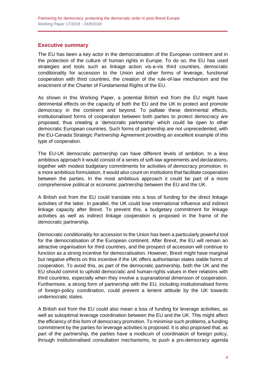### <span id="page-3-0"></span>**Executive summary**

The EU has been a key actor in the democratisation of the European continent and in the protection of the culture of human rights in Europe. To do so, the EU has used strategies and tools such as linkage action vis-a-vis third countries, democratic conditionality for accession to the Union and other forms of leverage, functional cooperation with third countries, the creation of the rule-of-law mechanism and the enactment of the Charter of Fundamental Rights of the EU.

As shown in this Working Paper, a potential British exit from the EU might have detrimental effects on the capacity of both the EU and the UK to protect and promote democracy in the continent and beyond. To palliate these detrimental effects, institutionalised forms of cooperation between both parties to protect democracy are proposed, thus creating a 'democratic partnership' which could be open to other democratic European countries. Such forms of partnership are not unprecedented, with the EU-Canada Strategic Partnership Agreement providing an excellent example of this type of cooperation.

The EU-UK democratic partnership can have different levels of ambition. In a less ambitious approach it would consist of a series of soft-law agreements and declarations, together with modest budgetary commitments for activities of democracy promotion. In a more ambitious formulation, it would also count on institutions that facilitate cooperation between the parties. In the most ambitious approach it could be part of a more comprehensive political or economic partnership between the EU and the UK.

A British exit from the EU could translate into a loss of funding for the direct linkage activities of the latter. In parallel, the UK could lose international influence and indirect linkage capacity after Brexit. To prevent this, a budgetary commitment for linkage activities as well as indirect linkage cooperation is proposed in the frame of the democratic partnership.

Democratic conditionality for accession to the Union has been a particularly powerful tool for the democratisation of the European continent. After Brexit, the EU will remain an attractive organisation for third countries, and the prospect of accession will continue to function as a strong incentive for democratisation. However, Brexit might have marginal but negative effects on this incentive if the UK offers authoritarian states stable forms of cooperation. To avoid this, as part of the democratic partnership, both the UK and the EU should commit to uphold democratic and human-rights values in their relations with third countries, especially when they involve a supranational dimension of cooperation. Furthermore, a strong form of partnership with the EU, including institutionalised forms of foreign-policy coordination, could prevent a lenient attitude by the UK towards undemocratic states.

A British exit from the EU could also mean a loss of funding for leverage activities, as well as suboptimal leverage coordination between the EU and the UK. This might affect the efficiency of this form of democracy promotion. To minimise such problems, a funding commitment by the parties for leverage activities is proposed. It is also proposed that, as part of the partnership, the parties have a modicum of coordination of foreign policy, through institutionalised consultation mechanisms, to push a pro-democracy agenda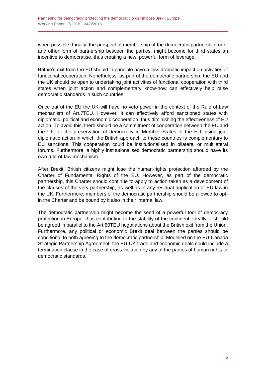when possible. Finally, the prospect of membership of the democratic partnership, or of any other form of partnership between the parties, might become for third states an incentive to democratise, thus creating a new, powerful form of leverage.

Britain's exit from the EU should in principle have a less dramatic impact on activities of functional cooperation. Nonetheless, as part of the democratic partnership, the EU and the UK should be open to undertaking joint activities of functional cooperation with third states when joint action and complementary know-how can effectively help raise democratic standards in such countries.

Once out of the EU the UK will have no veto power in the context of the Rule of Law mechanism of Art.7TEU. However, it can effectively afford sanctioned states with diplomatic, political and economic cooperation, thus diminishing the effectiveness of EU action. To avoid this, there should be a commitment of cooperation between the EU and the UK for the preservation of democracy in Member States of the EU, using joint diplomatic action in which the British approach to these countries is complementary to EU sanctions. This cooperation could be institutionalised in bilateral or multilateral forums. Furthermore, a highly institutionalised democratic partnership should have its own rule-of-law mechanism.

After Brexit, British citizens might lose the human-rights protection afforded by the Charter of Fundamental Rights of the EU. However, as part of the democratic partnership, this Charter should continue to apply to action taken as a development of the clauses of the very partnership, as well as in any residual application of EU law in the UK. Furthermore, members of the democratic partnership should be allowed to optin the Charter and be bound by it also in their internal law.

The democratic partnership might become the seed of a powerful tool of democracy protection in Europe, thus contributing to the stability of the continent. Ideally, it should be agreed in parallel to the Art.50TEU negotiations about the British exit from the Union. Furthermore, any political or economic Brexit deal between the parties should be conditional to both agreeing to the democratic partnership. Modelled on the EU-Canada Strategic Partnership Agreement, the EU-UK trade and economic deals could include a termination clause in the case of gross violation by any of the parties of human rights or democratic standards.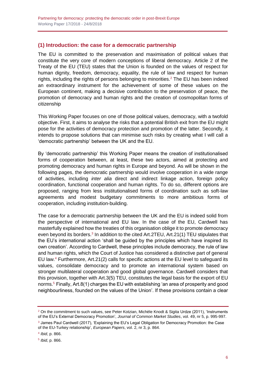## <span id="page-5-0"></span>**(1) Introduction: the case for a democratic partnership**

The EU is committed to the preservation and maximisation of political values that constitute the very core of modern conceptions of liberal democracy. Article 2 of the Treaty of the EU (TEU) states that the Union is founded on the values of respect for human dignity, freedom, democracy, equality, the rule of law and respect for human rights, including the rights of persons belonging to minorities.<sup>2</sup> The EU has been indeed an extraordinary instrument for the achievement of some of these values on the European continent, making a decisive contribution to the preservation of peace, the promotion of democracy and human rights and the creation of cosmopolitan forms of citizenship

This Working Paper focuses on one of those political values, democracy, with a twofold objective. First, it aims to analyse the risks that a potential British exit from the EU might pose for the activities of democracy protection and promotion of the latter. Secondly, it intends to propose solutions that can minimise such risks by creating what I will call a 'democratic partnership' between the UK and the EU.

By 'democratic partnership' this Working Paper means the creation of institutionalised forms of cooperation between, at least, these two actors, aimed at protecting and promoting democracy and human rights in Europe and beyond. As will be shown in the following pages, the democratic partnership would involve cooperation in a wide range of activities, including *inter alia* direct and indirect linkage action, foreign policy coordination, functional cooperation and human rights. To do so, different options are proposed, ranging from less institutionalised forms of coordination such as soft-law agreements and modest budgetary commitments to more ambitious forms of cooperation, including institution-building.

The case for a democratic partnership between the UK and the EU is indeed solid from the perspective of international and EU law. In the case of the EU, Cardwell has masterfully explained how the treaties of this organisation oblige it to promote democracy even beyond its borders.<sup>3</sup> In addition to the cited Art.2TEU, Art.21(1) TEU stipulates that the EU's international action 'shall be guided by the principles which have inspired its own creation'. According to Cardwell, these principles include democracy, the rule of law and human rights, which the Court of Justice has considered a distinctive part of general EU law.<sup>4</sup> Furthermore, Art.21(2) calls for specific actions at the EU level to safeguard its values, consolidate democracy and to promote an international system based on stronger multilateral cooperation and good global governance. Cardwell considers that this provision, together with Art.3(5) TEU, constitutes the legal basis for the export of EU norms.<sup>5</sup> Finally, Art.8(1) charges the EU with establishing 'an area of prosperity and good neighbourliness, founded on the values of the Union'. If these provisions contain a clear

4 *Ibid*, p. 866.

5 *Ibid*, p. 866.

<sup>&</sup>lt;sup>2</sup> On the commitment to such values, see Peter Kotzian, Michèle Knodt & Sigita Urdze (2011), 'Instruments of the EU's External Democracy Promotion', *Journal of Common Market Studies*, vol. 49, nr 5, p. 995-997.

<sup>&</sup>lt;sup>3</sup> James Paul Cardwell (2017), 'Explaining the EU's Legal Obligation for Democracy Promotion: the Case of the EU-Turkey relationship', *European Papers*, vol. 2, nr 3, p. 864.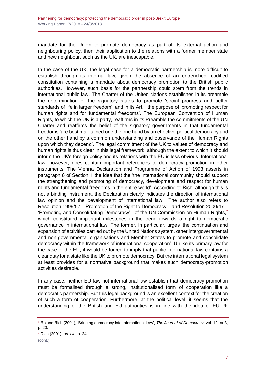mandate for the Union to promote democracy as part of its external action and neighbouring policy, then their application to the relations with a former member state and new neighbour, such as the UK, are inescapable.

In the case of the UK, the legal case for a democratic partnership is more difficult to establish through its internal law, given the absence of an entrenched, codified constitution containing a mandate about democracy promotion to the British public authorities. However, such basis for the partnership could stem from the trends in international public law. The Charter of the United Nations establishes in its preamble the determination of the signatory states to promote 'social progress and better standards of life in larger freedom', and in its Art.1 the purpose of 'promoting respect for human rights and for fundamental freedoms'. The European Convention of Human Rights, to which the UK is a party, reaffirms in its Preamble the commitments of the UN Charter and reaffirms the belief of the signatory governments in that fundamental freedoms 'are best maintained one the one hand by an effective political democracy and on the other hand by a common understanding and observance of the Human Rights upon which they depend'. The legal commitment of the UK to values of democracy and human rights is thus clear in this legal framework, although the extent to which it should inform the UK's foreign policy and its relations with the EU is less obvious. International law, however, does contain important references to democracy promotion in other instruments. The Vienna Declaration and Programme of Action of 1993 asserts in paragraph 8 of Section 1 the idea that the 'the international community should support the strengthening and promoting of democracy, development and respect for human rights and fundamental freedoms in the entire world'. According to Rich, although this is not a binding instrument, the Declaration clearly indicates the direction of international law opinion and the development of international law.  $6$  The author also refers to Resolution 1999/57 –'Promotion of the Right to Democracy'– and Resolution 2000/47 – 'Promoting and Consolidating Democracy'– of the UN Commission on Human Rights,<sup>7</sup> which constituted important milestones in the trend towards a right to democratic governance in international law. The former, in particular, urges 'the continuation and expansion of activities carried out by the United Nations system, other intergovernmental and non-governmental organisations and Member States to promote and consolidate democracy within the framework of international cooperation'. Unlike its primary law for the case of the EU, it would be forced to imply that public international law contains a clear duty for a state like the UK to promote democracy. But the international legal system at least provides for a normative background that makes such democracy-promotion activities desirable.

In any case, neither EU law not international law establish that democracy promotion must be formalised through a strong, institutionalised form of cooperation like a democratic partnership. But this legal background is an excellent context for the creation of such a form of cooperation. Furthermore, at the political level, it seems that the understanding of the British and EU authorities is in line with the idea of EU-UK

<sup>6</sup> Roland Rich (2001), 'Bringing democracy into International Law', *The Journal of Democracy*, vol. 12, nr 3, p. 20.

<sup>7</sup> Rich (2001). *op. cit*., p. 24.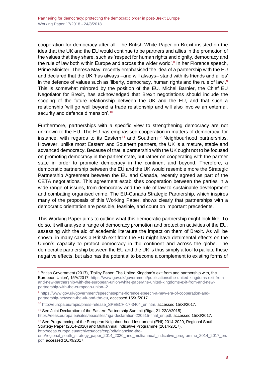cooperation for democracy after all. The British White Paper on Brexit insisted on the idea that the UK and the EU would continue to be partners and allies in the promotion of the values that they share, such as 'respect for human rights and dignity, democracy and the rule of law both within Europe and across the wider world'.<sup>8</sup> In her Florence speech, Prime Minister, Theresa May, recently emphasised the idea of a partnership with the EU and declared that the UK 'has always –and will always– stand with its friends and allies' in the defence of values such as 'liberty, democracy, human rights and the rule of law'.<sup>9</sup> This is somewhat mirrored by the position of the EU. Michel Barnier, the Chief EU Negotiator for Brexit, has acknowledged that Brexit negotiations should include the scoping of the future relationship between the UK and the EU, and that such a relationship 'will go well beyond a trade relationship and will also involve an external, security and defence dimension'.<sup>10</sup>

Furthermore, partnerships with a specific view to strengthening democracy are not unknown to the EU. The EU has emphasised cooperation in matters of democracy, for instance, with regards to its Eastern<sup>11</sup> and Southern<sup>12</sup> Neighbourhood partnerships. However, unlike most Eastern and Southern partners, the UK is a mature, stable and advanced democracy. Because of that, a partnership with the UK ought not to be focused on promoting democracy in the partner state, but rather on cooperating with the partner state in order to promote democracy in the continent and beyond. Therefore, a democratic partnership between the EU and the UK would resemble more the Strategic Partnership Agreement between the EU and Canada, recently agreed as part of the CETA negotiations. This agreement establishes cooperation between the parties in a wide range of issues, from democracy and the rule of law to sustainable development and combating organised crime. The EU-Canada Strategic Partnership, which inspires many of the proposals of this Working Paper, shows clearly that partnerships with a democratic orientation are possible, feasible, and count on important precedents.

This Working Paper aims to outline what this democratic partnership might look like. To do so, it will analyse a range of democracy promotion and protection activities of the EU, assessing with the aid of academic literature the impact on them of Brexit. As will be shown, in many cases a British exit from the EU might have detrimental effects on the Union's capacity to protect democracy in the continent and across the globe. The democratic partnership between the EU and the UK is thus simply a tool to palliate these negative effects, but also has the potential to become a complement to existing forms of

<sup>10</sup> [http://europa.eu/rapid/press-release\\_SPEECH-17-3404\\_en.htm,](http://europa.eu/rapid/press-release_SPEECH-17-3404_en.htm) accessed 15/XI/2017.

<sup>11</sup> See Joint Declaration of the Eastern Partnership Summit (Riga, 21-22/V/2015).

[https://eeas.europa.eu/sites/eeas/files/riga-declaration-220515-final\\_en.pdf,](https://eeas.europa.eu/sites/eeas/files/riga-declaration-220515-final_en.pdf) accessed 15/XI/2017.

<sup>&</sup>lt;sup>8</sup> British Government (2017), 'Policy Paper: The United Kingdom's exit from and partnership with, the European Union', 15/V/2017, [https://www.gov.uk/government/publications/the-united-kingdoms-exit-from](https://www.gov.uk/government/publications/the-united-kingdoms-exit-from-and-new-partnership-with-the-european-union-white-paper/the-united-kingdoms-exit-from-and-new-partnership-with-the-european-union--2)[and-new-partnership-with-the-european-union-white-paper/the-united-kingdoms-exit-from-and-new](https://www.gov.uk/government/publications/the-united-kingdoms-exit-from-and-new-partnership-with-the-european-union-white-paper/the-united-kingdoms-exit-from-and-new-partnership-with-the-european-union--2)[partnership-with-the-european-union--2.](https://www.gov.uk/government/publications/the-united-kingdoms-exit-from-and-new-partnership-with-the-european-union-white-paper/the-united-kingdoms-exit-from-and-new-partnership-with-the-european-union--2)

<sup>9</sup> [https://www.gov.uk/government/speeches/pms-florence-speech-a-new-era-of-cooperation-and](https://www.gov.uk/government/speeches/pms-florence-speech-a-new-era-of-cooperation-and-partnership-between-the-uk-and-the-eu)[partnership-between-the-uk-and-the-eu,](https://www.gov.uk/government/speeches/pms-florence-speech-a-new-era-of-cooperation-and-partnership-between-the-uk-and-the-eu) accessed 15/XI/2017.

<sup>&</sup>lt;sup>12</sup> See Programming of the European Neighbourhood Instrument (ENI) 2014-2020, Regional South Strategy Paper (2014-2020) and Multiannual Indicative Programme (2014-2017), [http://eeas.europa.eu/archives/docs/enp/pdf/financing-the-](http://eeas.europa.eu/archives/docs/enp/pdf/financing-the-enp/regional_south_strategy_paper_2014_2020_and_multiannual_indicative_programme_2014_2017_en.pdf)

[enp/regional\\_south\\_strategy\\_paper\\_2014\\_2020\\_and\\_multiannual\\_indicative\\_programme\\_2014\\_2017\\_en.](http://eeas.europa.eu/archives/docs/enp/pdf/financing-the-enp/regional_south_strategy_paper_2014_2020_and_multiannual_indicative_programme_2014_2017_en.pdf) [pdf,](http://eeas.europa.eu/archives/docs/enp/pdf/financing-the-enp/regional_south_strategy_paper_2014_2020_and_multiannual_indicative_programme_2014_2017_en.pdf) accessed 16/XI/2017.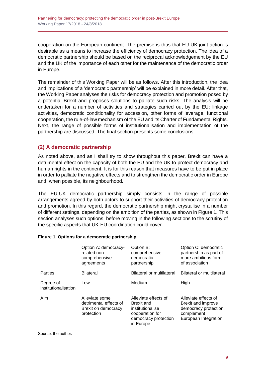cooperation on the European continent. The premise is thus that EU-UK joint action is desirable as a means to increase the efficiency of democracy protection. The idea of a democratic partnership should be based on the reciprocal acknowledgement by the EU and the UK of the importance of each other for the maintenance of the democratic order in Europe.

The remainder of this Working Paper will be as follows. After this introduction, the idea and implications of a 'democratic partnership' will be explained in more detail. After that, the Working Paper analyses the risks for democracy protection and promotion posed by a potential Brexit and proposes solutions to palliate such risks. The analysis will be undertaken for a number of activities and strategies carried out by the EU: linkage activities, democratic conditionality for accession, other forms of leverage, functional cooperation, the rule-of-law mechanism of the EU and its Charter of Fundamental Rights. Next, the range of possible forms of institutionalisation and implementation of the partnership are discussed. The final section presents some conclusions.

## <span id="page-8-0"></span>**(2) A democratic partnership**

As noted above, and as I shall try to show throughout this paper, Brexit can have a detrimental effect on the capacity of both the EU and the UK to protect democracy and human rights in the continent. It is for this reason that measures have to be put in place in order to palliate the negative effects and to strengthen the democratic order in Europe and, when possible, its neighbourhood.

The EU-UK democratic partnership simply consists in the range of possible arrangements agreed by both actors to support their activities of democracy protection and promotion. In this regard, the democratic partnership might crystallise in a number of different settings, depending on the ambition of the parties, as shown in Figure 1. This section analyses such options, before moving in the following sections to the scrutiny of the specific aspects that UK-EU coordination could cover.

|                                   | Option A: democracy-<br>related non-<br>comprehensive<br>agreements           | Option B:<br>comprehensive<br>democratic<br>partnership                                                        | Option C: democratic<br>partnership as part of<br>more ambitious form<br>of association                   |
|-----------------------------------|-------------------------------------------------------------------------------|----------------------------------------------------------------------------------------------------------------|-----------------------------------------------------------------------------------------------------------|
| Parties                           | <b>Bilateral</b>                                                              | Bilateral or multilateral                                                                                      | Bilateral or multilateral                                                                                 |
| Degree of<br>institutionalisation | Low                                                                           | Medium                                                                                                         | High                                                                                                      |
| Aim                               | Alleviate some<br>detrimental effects of<br>Brexit on democracy<br>protection | Alleviate effects of<br>Brexit and<br>institutionalise<br>cooperation for<br>democracy protection<br>in Europe | Alleviate effects of<br>Brexit and improve<br>democracy protection,<br>complement<br>European Integration |

#### **Figure 1. Options for a democratic partnership**

Source: the author.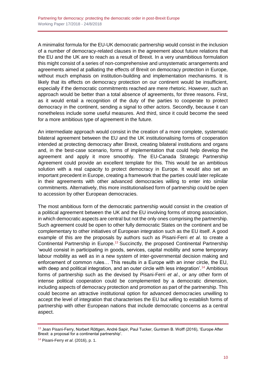A minimalist formula for the EU-UK democratic partnership would consist in the inclusion of a number of democracy-related clauses in the agreement about future relations that the EU and the UK are to reach as a result of Brexit. In a very unambitious formulation this might consist of a series of non-comprehensive and unsystematic arrangements and agreements aimed at palliating the effects of Brexit on democracy protection in Europe, without much emphasis on institution-building and implementation mechanisms. It is likely that its effects on democracy protection on our continent would be insufficient, especially if the democratic commitments reached are mere rhetoric. However, such an approach would be better than a total absence of agreements, for three reasons. First, as it would entail a recognition of the duty of the parties to cooperate to protect democracy in the continent, sending a signal to other actors. Secondly, because it can nonetheless include some useful measures. And third, since it could become the seed for a more ambitious type of agreement in the future.

An intermediate approach would consist in the creation of a more complete, systematic bilateral agreement between the EU and the UK institutionalising forms of cooperation intended at protecting democracy after Brexit, creating bilateral institutions and organs and, in the best-case scenario, forms of implementation that could help develop the agreement and apply it more smoothly. The EU-Canada Strategic Partnership Agreement could provide an excellent template for this. This would be an ambitious solution with a real capacity to protect democracy in Europe. It would also set an important precedent in Europe, creating a framework that the parties could later replicate in their agreements with other advanced democracies willing to enter into similar commitments. Alternatively, this more institutionalised form of partnership could be open to accession by other European democracies.

The most ambitious form of the democratic partnership would consist in the creation of a political agreement between the UK and the EU involving forms of strong association, in which democratic aspects are central but not the only ones comprising the partnership. Such agreement could be open to other fully democratic States on the continent and be complementary to other initiatives of European integration such as the EU itself. A good example of this are the proposals by authors such as Pisani-Ferri *et al*. to create a Continental Partnership in Europe.<sup>13</sup> Succinctly, the proposed Continental Partnership 'would consist in participating in goods, services, capital mobility and some temporary labour mobility as well as in a new system of inter-governmental decision making and enforcement of common rules… This results in a Europe with an inner circle, the EU, with deep and political integration, and an outer circle with less integration'.<sup>14</sup> Ambitious forms of partnership such as the devised by Pisani-Ferri *et al*., or any other form of intense political cooperation could be complemented by a democratic dimension, including aspects of democracy protection and promotion as part of the partnership. This could become an attractive institutional option for advanced democracies unwilling to accept the level of integration that characterises the EU but willing to establish forms of partnership with other European nations that include democratic concerns as a central aspect.

<sup>13</sup> Jean Pisani-Ferry, Norbert Röttgen, André Sapir, Paul Tucker, Guntram B. Wolff (2016), 'Europe After Brexit: a proposal for a continental partnership'.

<sup>14</sup> Pisani-Ferry *et al*. (2016), p. 1.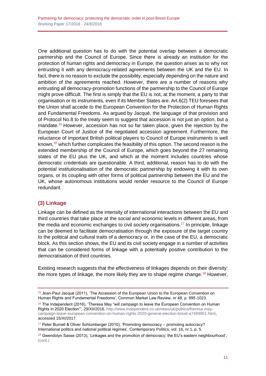One additional question has to do with the potential overlap between a democratic partnership and the Council of Europe. Since there is already an institution for the protection of human rights and democracy in Europe, the question arises as to why not entrusting it with any democracy-related agreements between the UK and the EU. In fact, there is no reason to exclude the possibility, especially depending on the nature and ambition of the agreements reached. However, there are a number of reasons why entrusting all democracy-promotion functions of the partnership to the Council of Europe might prove difficult. The first is simply that the EU is not, at the moment, a party to that organisation or its instruments, even if its Member States are. Art.6(2) TEU foresees that the Union shall accede to the European Convention for the Protection of Human Rights and Fundamental Freedoms. As argued by Jacqué, the language of that provision and of Protocol No.8 to the treaty seem to suggest that accession is not just an option, but a mandate.<sup>15</sup> However, accession has not so far taken place, given the rejection by the European Court of Justice of the negotiated accession agreement. Furthermore, the reluctance of important British political players to Council of Europe instruments is well known,  $16$  which further complicates the feasibility of this option. The second reason is the extended membership of the Council of Europe, which goes beyond the 27 remaining states of the EU plus the UK, and which at the moment includes countries whose democratic credentials are questionable. A third, additional, reason has to do with the potential institutionalisation of the democratic partnership by endowing it with its own organs, or its coupling with other forms of political partnership between the EU and the UK, whose autonomous institutions would render resource to the Council of Europe redundant.

## <span id="page-10-0"></span>**(3) Linkage**

Linkage can be defined as the intensity of international interactions between the EU and third countries that take place at the social and economic levels in different areas, from the media and economic exchanges to civil society organisations.<sup>17</sup> In principle, linkage can be deemed to facilitate democratisation through the exposure of the target country to the political and cultural traits of a democracy or, in the case of the EU, a democratic block. As this section shows, the EU and its civil society engage in a number of activities that can be considered forms of linkage with a potentially positive contribution to the democratisation of third countries.

Existing research suggests that the effectiveness of linkages depends on their diversity: the more types of linkage, the more likely they are to shape regime change.<sup>18</sup> However,

<sup>&</sup>lt;sup>15</sup> Jean-Paul Jacqué (2011), 'The Accession of the European Union to the European Convention on Human Rights and Fundamental Freedoms', Common Market Law Review, nr 48, p. 995-1023.

 $16$  The Independent (2016), 'Theresa May "will campaign to leave the European Convention on Human Rights in 2020 Election"', 29/XII/2016, [http://www.independent.co.uk/news/uk/politics/theresa-may](http://www.independent.co.uk/news/uk/politics/theresa-may-campaign-leave-european-convention-on-human-rights-2020-general-election-brexit-a7499951.html)[campaign-leave-european-convention-on-human-rights-2020-general-election-brexit-a7499951.html,](http://www.independent.co.uk/news/uk/politics/theresa-may-campaign-leave-european-convention-on-human-rights-2020-general-election-brexit-a7499951.html) accessed 15/XI/2017.

<sup>17</sup> Peter Burnell & Oliver Schlumberger (2010), 'Promoting democracy – promoting autocracy? International politics and national political regimes', Contemporary Politics, vol. 16, nr 1, p. 5.

<sup>&</sup>lt;sup>18</sup> Gwendolyn Sasse (2013), 'Linkages and the promotion of democracy: the EU's eastern neighbourhood', (cont.)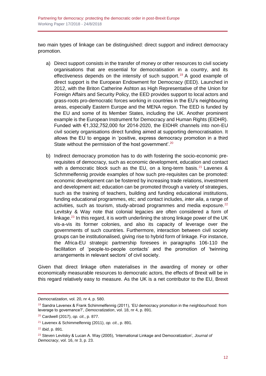two main types of linkage can be distinguished: direct support and indirect democracy promotion.

- a) Direct support consists in the transfer of money or other resources to civil society organisations that are essential for democratisation in a country, and its effectiveness depends on the intensity of such support.<sup>19</sup> A good example of direct support is the European Endowment for Democracy (EED). Launched in 2012, with the Briton Catherine Ashton as High Representative of the Union for Foreign Affairs and Security Policy, the EED provides support to local actors and grass-roots pro-democratic forces working in countries in the EU's neighbouring areas, especially Eastern Europe and the MENA region. The EED is funded by the EU and some of its Member States, including the UK. Another prominent example is the European Instrument for Democracy and Human Rights (EIDHR). Funded with €1,332,752,000 for 2014-2020, the EIDHR channels into non-EU civil society organisations direct funding aimed at supporting democratisation. It allows the EU to engage in 'positive, express democracy promotion in a third State without the permission of the host government'.<sup>20</sup>
- b) Indirect democracy promotion has to do with fostering the socio-economic prerequisites of democracy, such as economic development, education and contact with a democratic block such as the EU, on a long-term basis.<sup>21</sup> Lavenex  $\&$ Schmmelfennig provide examples of how such pre-requisites can be promoted: economic development can be fostered by increasing trade relations, investment and development aid; education can be promoted through a variety of strategies, such as the training of teachers, building and funding educational institutions, funding educational programmes, etc; and contact includes, *inter alia*, a range of activities, such as tourism, study-abroad programmes and media exposure. $^{22}$ Levitsky & Way note that colonial legacies are often considered a form of linkage.<sup>23</sup> In this regard, it is worth underlining the strong linkage power of the UK vis-a-vis its former colonies, and also its capacity of leverage over the governments of such countries. Furthermore, interaction between civil society groups can be institutionalised, giving rise to hybrid form of linkage. For instance, the Africa-EU strategic partnership foresees in paragraphs 106-110 the facilitation of 'people-to-people contacts' and the promotion of 'twinning arrangements in relevant sectors' of civil society.

Given that direct linkage often materialises in the awarding of money or other economically measurable resources to democratic actors, the effects of Brexit will be in this regard relatively easy to measure. As the UK is a net contributor to the EU, Brexit

*Democratization*, vol. 20, nr 4, p. 580.

<sup>&</sup>lt;sup>19</sup> Sandra Lavenex & Frank Schimmelfennig (2011), 'EU democracy promotion in the neighbourhood: from leverage to governance?', *Democratization*, vol. 18, nr 4, p. 891.

<sup>20</sup> Cardwell (2017), *op. cit*., p. 877.

<sup>21</sup> Lavenex & Schimmelfennig (2011), *op. cit*., p. 891.

<sup>22</sup> *Ibid*, p. 891.

<sup>23</sup> Steven Levitsky & Lucan A. Way (2005), 'International Linkage and Democratization', *Journal of Democracy*, vol. 16, nr 3, p. 23.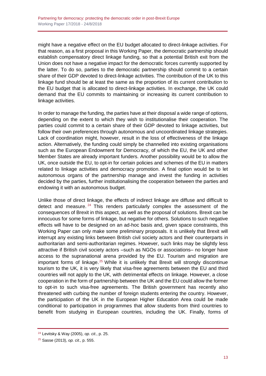might have a negative effect on the EU budget allocated to direct-linkage activities. For that reason, as a first proposal in this Working Paper, the democratic partnership should establish compensatory direct linkage funding, so that a potential British exit from the Union does not have a negative impact for the democratic forces currently supported by the latter. To do so, parties to the democratic partnership should commit to a certain share of their GDP devoted to direct-linkage activities. The contribution of the UK to this linkage fund should be at least the same as the proportion of its current contribution to the EU budget that is allocated to direct-linkage activities. In exchange, the UK could demand that the EU commits to maintaining or increasing its current contribution to linkage activities.

In order to manage the funding, the parties have at their disposal a wide range of options, depending on the extent to which they wish to institutionalise their cooperation. The parties could commit to a certain share of their GDP devoted to linkage activities, but follow their own preferences through autonomous and uncoordinated linkage strategies. Lack of coordination might, however, result in the loss of effectiveness of the linkage action. Alternatively, the funding could simply be channelled into existing organisations such as the European Endowment for Democracy, of which the EU, the UK and other Member States are already important funders. Another possibility would be to allow the UK, once outside the EU, to opt-in for certain policies and schemes of the EU in matters related to linkage activities and democracy promotion. A final option would be to let autonomous organs of the partnership manage and invest the funding in activities decided by the parties, further institutionalising the cooperation between the parties and endowing it with an autonomous budget.

Unlike those of direct linkage, the effects of indirect linkage are diffuse and difficult to detect and measure.  $24$  This renders particularly complex the assessment of the consequences of Brexit in this aspect, as well as the proposal of solutions. Brexit can be innocuous for some forms of linkage, but negative for others. Solutions to such negative effects will have to be designed on an ad-hoc basis and, given space constraints, this Working Paper can only make some preliminary proposals. It is unlikely that Brexit will interrupt any existing links between British civil society actors and their counterparts in authoritarian and semi-authoritarian regimes. However, such links may be slightly less attractive if British civil society actors –such as NGOs or associations– no longer have access to the supranational arena provided by the EU. Tourism and migration are important forms of linkage.<sup>25</sup> While it is unlikely that Brexit will strongly discontinue tourism to the UK, it is very likely that visa-free agreements between the EU and third countries will not apply to the UK, with detrimental effects on linkage. However, a close cooperation in the form of partnership between the UK and the EU could allow the former to opt-in to such visa-free agreements. The British government has recently also threatened with curbing the number of foreign students entering the country. However, the participation of the UK in the European Higher Education Area could be made conditional to participation in programmes that allow students from third countries to benefit from studying in European countries, including the UK. Finally, forms of

<sup>24</sup> Levitsky & Way (2005), *op. cit*., p. 25.

<sup>25</sup> Sasse (2013), *op. cit*., p. 555.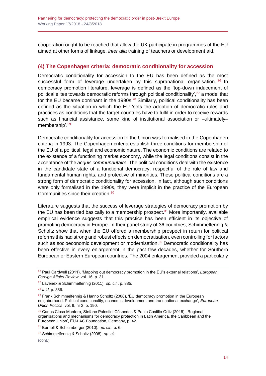cooperation ought to be reached that allow the UK participate in programmes of the EU aimed at other forms of linkage, *inter alia* training of teachers or development aid.

## <span id="page-13-0"></span>**(4) The Copenhagen criteria: democratic conditionality for accession**

Democratic conditionality for accession to the EU has been defined as the most successful form of leverage undertaken by this supranational organisation.  $^{26}$  In democracy promotion literature, leverage is defined as the 'top-down inducement of political elites towards democratic reforms through political conditionality', $27$  a model that for the EU became dominant in the 1990s. $^{28}$  Similarly, political conditionality has been defined as the situation in which the EU 'sets the adoption of democratic rules and practices as conditions that the target countries have to fulfil in order to receive rewards such as financial assistance, some kind of institutional association or –ultimately– membership'.<sup>29</sup>

Democratic conditionality for accession to the Union was formalised in the Copenhagen criteria in 1993. The Copenhagen criteria establish three conditions for membership of the EU of a political, legal and economic nature. The economic conditions are related to the existence of a functioning market economy, while the legal conditions consist in the acceptance of the *acquis communautaire*. The political conditions deal with the existence in the candidate state of a functional democracy, respectful of the rule of law and fundamental human rights, and protective of minorities. These political conditions are a strong form of democratic conditionality for accession. In fact, although such conditions were only formalised in the 1990s, they were implicit in the practice of the European Communities since their creation.<sup>30</sup>

Literature suggests that the success of leverage strategies of democracy promotion by the EU has been tied basically to a membership prospect.<sup>31</sup> More importantly, available empirical evidence suggests that this practice has been efficient in its objective of promoting democracy in Europe. In their panel study of 36 countries, Schimmelfennig & Scholtz show that when the EU offered a membership prospect in return for political reforms this had strong and robust effects on democratisation, even controlling for factors such as socioeconomic development or modernisation.<sup>32</sup> Democratic conditionality has been effective in every enlargement in the past few decades, whether for Southern European or Eastern European countries. The 2004 enlargement provided a particularly

<sup>31</sup> Burnell & Schlumberger (2010), *op. cit*., p. 6.

<sup>26</sup> Paul Cardwell (2011), 'Mapping out democracy promotion in the EU's external relations', *European Foreign Affairs Review*, vol. 16, p. 31.

<sup>27</sup> Lavenex & Schimmelfennig (2011), *op. cit*., p. 885.

<sup>28</sup> *Ibid*, p. 886.

 $29$  Frank Schimmelfennig & Hanno Scholtz (2008), 'EU democracy promotion in the European neighborhood. Political conditionality, economic development and transnational exchange', *European Union Politics*, vol. 9, nr 2, p. 190.

<sup>30</sup> Carlos Closa Montero, Stefano Palestini Céspedes & Pablo Castillo Ortiz (2016), 'Regional organisations and mechanisms for democracy protection in Latin America, the Caribbean and the European Union', EU-LAC Foundation, Germany, p. 42.

<sup>32</sup> Schimmelfennig & Scholtz (2008), *op. cit*.

<sup>(</sup>cont.)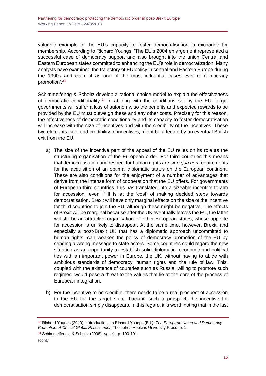valuable example of the EU's capacity to foster democratisation in exchange for membership. According to Richard Youngs, 'The EU's 2004 enlargement represented a successful case of democracy support and also brought into the union Central and Eastern European states committed to enhancing the EU's role in democratization. Many analysts have examined the trajectory of EU policy in central and Eastern Europe during the 1990s and claim it as one of the most influential cases ever of democracy promotion'.<sup>33</sup>

Schimmelfenng & Scholtz develop a rational choice model to explain the effectiveness of democratic conditionality.<sup>34</sup> In abiding with the conditions set by the EU, target governments will suffer a loss of autonomy, so the benefits and expected rewards to be provided by the EU must outweigh these and any other costs. Precisely for this reason, the effectiveness of democratic conditionality and its capacity to foster democratisation will increase with the size of incentives and with the credibility of the incentives. These two elements, size and credibility of incentives, might be affected by an eventual British exit from the EU.

- a) The size of the incentive part of the appeal of the EU relies on its role as the structuring organisation of the European order. For third countries this means that democratisation and respect for human rights are *sine qua non* requirements for the acquisition of an optimal diplomatic status on the European continent. These are also conditions for the enjoyment of a number of advantages that derive from the intense form of cooperation that the EU offers. For governments of European third countries, this has translated into a sizeable incentive to aim for accession, even if it is at the 'cost' of making decided steps towards democratisation. Brexit will have only marginal effects on the size of the incentive for third countries to join the EU, although these might be negative. The effects of Brexit will be marginal because after the UK eventually leaves the EU, the latter will still be an attractive organisation for other European states, whose appetite for accession is unlikely to disappear. At the same time, however, Brexit, and especially a post-Brexit UK that has a diplomatic approach uncommitted to human rights, can weaken the policy of democracy promotion of the EU by sending a wrong message to state actors. Some countries could regard the new situation as an opportunity to establish solid diplomatic, economic and political ties with an important power in Europe, the UK, without having to abide with ambitious standards of democracy, human rights and the rule of law. This, coupled with the existence of countries such as Russia, willing to promote such regimes, would pose a threat to the values that lie at the core of the process of European integration.
- b) For the incentive to be credible, there needs to be a real prospect of accession to the EU for the target state. Lacking such a prospect, the incentive for democratisation simply disappears. In this regard, it is worth noting that in the last

<sup>33</sup> Richard Youngs (2010), 'Introduction', in Richard Youngs (Ed.), *The European Union and Democracy Promotion: A Critical Global Assessment*, The Johns Hopkins University Press, p. 1.

<sup>34</sup> Schimmelfennig & Scholtz (2008), *op. cit*., p. 190-191.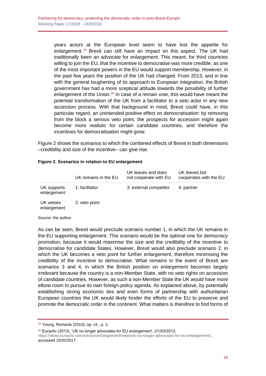years actors at the European level seem to have lost the appetite for enlargement. <sup>35</sup> Brexit can still have an impact on this aspect. The UK had traditionally been an advocate for enlargement. This meant, for third countries willing to join the EU, that the incentive to democratise was more credible, as one of the most important powers in the EU would support membership. However, in the past few years the position of the UK had changed. From 2013, and in line with the general toughening of its approach to European integration, the British government has had a more sceptical attitude towards the possibility of further enlargement of the Union. $36$  In case of a remain vote, this would have meant the potential transformation of the UK from a facilitator to a veto actor in any new accession process. With that background in mind, Brexit could have, in this particular regard, an unintended positive effect on democratisation: by removing from the block a serious veto point, the prospects for accession might again become more realistic for certain candidate countries, and therefore the incentives for democratisation might grow.

Figure 2 shows the scenarios to which the combined effects of Brexit in both dimensions –credibility and size of the incentive– can give rise.

|                            | UK remains in the EU | UK leaves and does<br>not cooperate with EU | UK leaves but<br>cooperates with the EU |
|----------------------------|----------------------|---------------------------------------------|-----------------------------------------|
| UK supports<br>enlargement | 1: facilitator       | 3: external competitor                      | 4: partner                              |
| UK vetoes<br>enlargement   | 2: veto point        |                                             |                                         |

#### **Figure 2. Scenarios in relation to EU enlargement**

Source: the author.

As can be seen, Brexit would preclude scenario number 1, in which the UK remains in the EU supporting enlargement. This scenario would be the optimal one for democracy promotion, because it would maximise the size and the credibility of the incentive to democratise for candidate States. However, Brexit would also preclude scenario 2, in which the UK becomes a veto point for further enlargement, therefore minimising the credibility of the incentive to democratise. What remains in the event of Brexit are scenarios 3 and 4, in which the British position on enlargement becomes largely irrelevant because the country is a non-Member State, with no veto rights on accession of candidate countries. However, as such a non-Member State the UK would have more elbow room to pursue its own foreign-policy agenda. As explained above, by potentially establishing strong economic ties and even forms of partnership with authoritarian European countries the UK would likely hinder the efforts of the EU to preserve and promote the democratic order in the continent. What matters is therefore to find forms of

<sup>36</sup> Euractiv (2013), 'UK no longer advocates for EU enlargement', 21/XII/2013,

[https://www.euractiv.com/section/enlargement/news/uk-no-longer-advocates-for-eu-enlargement/,](https://www.euractiv.com/section/enlargement/news/uk-no-longer-advocates-for-eu-enlargement/) accessed 15/XI/2017.

<sup>35</sup> Young, Richards (2010), op. cit., p. 2.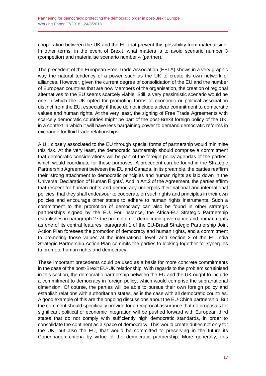cooperation between the UK and the EU that prevent this possibility from materialising. In other terms, in the event of Brexit, what matters is to avoid scenario number 3 (competitor) and materialise scenario number 4 (partner).

The precedent of the European Free Trade Association (EFTA) shows in a very graphic way the natural tendency of a power such as the UK to create its own network of alliances. However, given the current degree of consolidation of the EU and the number of European countries that are now Members of the organisation, the creation of regional alternatives to the EU seems scarcely viable. Still, a very pessimistic scenario would be one in which the UK opted for promoting forms of economic or political association distinct from the EU, especially if these do not include a clear commitment to democratic values and human rights. At the very least, the signing of Free Trade Agreements with scarcely democratic countries might be part of the post-Brexit foreign policy of the UK, in a context in which it will have less bargaining power to demand democratic reforms in exchange for fluid trade relationships.

A UK closely associated to the EU through special forms of partnership would minimise this risk. At the very least, the democratic partnership should comprise a commitment that democratic considerations will be part of the foreign policy agendas of the parties, which would coordinate for these purposes. A precedent can be found in the Strategic Partnership Agreement between the EU and Canada. In its preamble, the parties reaffirm their 'strong attachment to democratic principles and human rights as laid down in the Universal Declaration of Human Rights'. And in Art.2 of the Agreement, the parties affirm that respect for human rights and democracy underpins their national and international policies, that they shall endeavour to cooperate on such rights and principles in their own policies and encourage other states to adhere to human rights instruments. Such a commitment to the promotion of democracy can also be found in other strategic partnerships signed by the EU. For instance, the Africa-EU Strategic Partnership establishes in paragraph 27 the promotion of democratic governance and human rights as one of its central features; paragraph 1 of the EU-Brazil Strategic Partnership Joint Action Plan foresees the promotion of democracy and human rights, and a commitment to promoting those values at the international level; and section 2 of the EU-India Strategic Partnership Action Plan commits the parties to looking together for synergies to promote human rights and democracy.

These important precedents could be used as a basis for more concrete commitments in the case of the post-Brexit EU-UK relationship. With regards to the problem scrutinised in this section, the democratic partnership between the EU and the UK ought to include a commitment to democracy in foreign policy, which would comprise the supranational dimension. Of course, the parties will be able to pursue their own foreign policy and establish relations with authoritarian states, as is the case with all democratic countries. A good example of this are the ongoing discussions about the EU-China partnership. But the comment should specifically provide for a reciprocal assurance that no proposals for significant political or economic integration will be pushed forward with European third states that do not comply with sufficiently high democratic standards, in order to consolidate the continent as a space of democracy. This would create duties not only for the UK, but also the EU, that would be committed to preserving in the future its Copenhagen criteria by virtue of the democratic partnership. More generally, this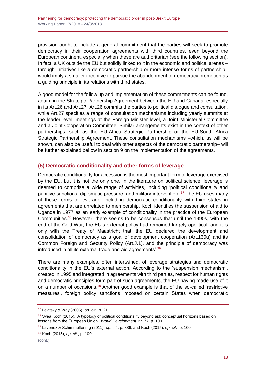provision ought to include a general commitment that the parties will seek to promote democracy in their cooperation agreements with third countries, even beyond the European continent, especially when these are authoritarian (see the following section). In fact, a UK outside the EU but solidly linked to it in the economic and political arenas – through initiatives like a democratic partnership or more intense forms of partnership– would imply a smaller incentive to pursue the abandonment of democracy promotion as a guiding principle in its relations with third states.

A good model for the follow up and implementation of these commitments can be found, again, in the Strategic Partnership Agreement between the EU and Canada, especially in its Art.26 and Art.27. Art.26 commits the parties to political dialogue and consultation, while Art.27 specifies a range of consultation mechanisms including yearly summits at the leader level, meetings at the Foreign-Minister level, a Joint Ministerial Committee and a Joint Cooperation Committee. Similar arrangements exist in the context of other partnerships, such as the EU-Africa Strategic Partnership or the EU-South Africa Strategic Partnership Agreement. These consultation mechanisms –which, as will be shown, can also be useful to deal with other aspects of the democratic partnership– will be further explained bellow in section 9 on the implementation of the agreements.

## <span id="page-17-0"></span>**(5) Democratic conditionality and other forms of leverage**

Democratic conditionality for accession is the most important form of leverage exercised by the EU, but it is not the only one. In the literature on political science, leverage is deemed to comprise a wide range of activities, including 'political conditionality and punitive sanctions, diplomatic pressure, and military intervention'.<sup>37</sup> The EU uses many of these forms of leverage, including democratic conditionality with third states in agreements that are unrelated to membership. Koch identifies the suspension of aid to Uganda in 1977 as an early example of conditionality in the practice of the European Communities.<sup>38</sup> However, there seems to be consensus that until the 1990s, with the end of the Cold War, the EU's external policy had remained largely apolitical, and it is only with the Treaty of Maastricht that 'the EU declared the development and consolidation of democracy as a goal of development cooperation (Art.130u) and its Common Foreign and Security Policy (Art.J.1), and the principle of democracy was introduced in all its external trade and aid agreements'.<sup>39</sup>

There are many examples, often intertwined, of leverage strategies and democratic conditionality in the EU's external action. According to the 'suspension mechanism', created in 1995 and integrated in agreements with third parties, respect for human rights and democratic principles form part of such agreements, the EU having made use of it on a number of occasions.<sup>40</sup> Another good example is that of the so-called 'restrictive measures', foreign policy sanctions imposed on certain States when democratic

<sup>37</sup> Levitsky & Way (2005), *op. cit*., p. 21.

<sup>38</sup> Svea Koch (2015). 'A typology of political conditionality beyond aid: conceptual horizons based on lessons from the European Union', *World Development*, nr. 77, p. 100.

<sup>39</sup> Lavenex & Schimmelfennig (2011), *op. cit*., p. 886; and Koch (2015), *op. cit*., p. 100.

<sup>40</sup> Koch (2015), *op. cit*., p. 100.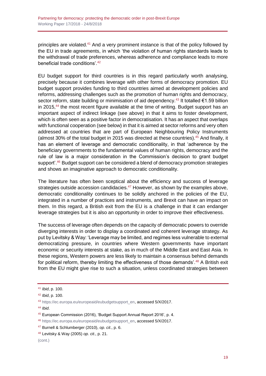principles are violated.<sup>41</sup> And a very prominent instance is that of the policy followed by the EU in trade agreements, in which 'the violation of human rights standards leads to the withdrawal of trade preferences, whereas adherence and compliance leads to more beneficial trade conditions'.<sup>42</sup>

EU budget support for third countries is in this regard particularly worth analysing, precisely because it combines leverage with other forms of democracy promotion. EU budget support provides funding to third countries aimed at development policies and reforms, addressing challenges such as the promotion of human rights and democracy, sector reform, state building or minimisation of aid dependency.<sup>43</sup> It totalled  $\epsilon$ 1.59 billion in 2015,<sup>44</sup> the most recent figure available at the time of writing. Budget support has an important aspect of indirect linkage (see above) in that it aims to foster development, which is often seen as a positive factor in democratisation. It has an aspect that overlaps with functional cooperation (see below) in that it is aimed at sector reforms and very often addressed at countries that are part of European Neighbouring Policy Instruments (almost 30% of the total budget in 2015 was directed at these countries).<sup>45</sup> And finally, it has an element of leverage and democratic conditionality, in that 'adherence by the beneficiary governments to the fundamental values of human rights, democracy and the rule of law is a major consideration in the Commission's decision to grant budget support<sup>", 46</sup> Budget support can be considered a blend of democracy promotion strategies and shows an imaginative approach to democratic conditionality.

The literature has often been sceptical about the efficiency and success of leverage strategies outside accession candidacies. $47$  However, as shown by the examples above, democratic conditionality continues to be solidly anchored in the policies of the EU, integrated in a number of practices and instruments, and Brexit can have an impact on them. In this regard, a British exit from the EU is a challenge in that it can endanger leverage strategies but it is also an opportunity in order to improve their effectiveness.

The success of leverage often depends on the capacity of democratic powers to override diverging interests in order to display a coordinated and coherent leverage strategy. As put by Levitsky & Way: 'Leverage may be limited, and regimes less vulnerable to external democratizing pressure, in countries where Western governments have important economic or security interests at stake, as in much of the Middle East and East Asia. In these regions, Western powers are less likely to maintain a consensus behind demands for political reform, thereby limiting the effectiveness of those demands'.<sup>48</sup> A British exit from the EU might give rise to such a situation, unless coordinated strategies between

#### (cont.)

<sup>41</sup> *Ibid*, p. 100.

<sup>42</sup> *Ibid*, p. 100.

<sup>43</sup> [https://ec.europa.eu/europeaid/eubudgetsupport\\_en,](https://ec.europa.eu/europeaid/eubudgetsupport_en) accessed 5/X/2017.

<sup>44</sup> *Ibid*.

<sup>45</sup> European Commission (2016), 'Budget Support Annual Report 2016', p. 4.

<sup>46</sup> [https://ec.europa.eu/europeaid/eubudgetsupport\\_en,](https://ec.europa.eu/europeaid/eubudgetsupport_en) accessed 5/X/2017.

<sup>47</sup> Burnell & Schlumberger (2010), *op. cit*., p. 6.

<sup>48</sup> Levitsky & Way (2005) *op. cit*., p. 21.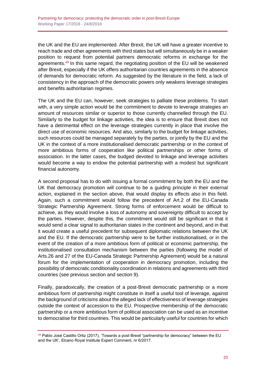the UK and the EU are implemented. After Brexit, the UK will have a greater incentive to reach trade and other agreements with third states but will simultaneously be in a weaker position to request from potential partners democratic reforms in exchange for the agreements.<sup>49</sup> In this same regard, the negotiating position of the EU will be weakened after Brexit, especially if the UK offers authoritarian countries agreements in the absence of demands for democratic reform. As suggested by the literature in the field, a lack of consistency in the approach of the democratic powers only weakens leverage strategies and benefits authoritarian regimes.

The UK and the EU can, however, seek strategies to palliate these problems. To start with, a very simple action would be the commitment to devote to leverage strategies an amount of resources similar or superior to those currently channelled through the EU. Similarly to the budget for linkage activities, the idea is to ensure that Brexit does not have a detrimental effect on the leverage strategies currently in place that involve the direct use of economic resources. And also, similarly to the budget for linkage activities, such resources could be managed separately by the parties, or jointly by the EU and the UK in the context of a more institutionalised democratic partnership or in the context of more ambitious forms of cooperation like political partnerships or other forms of association. In the latter cases, the budged devoted to linkage and leverage activities would become a way to endow the potential partnership with a modest but significant financial autonomy.

A second proposal has to do with issuing a formal commitment by both the EU and the UK that democracy promotion will continue to be a guiding principle in their external action, explained in the section above, that would display its effects also in this field. Again, such a commitment would follow the precedent of Art.2 of the EU-Canada Strategic Partnership Agreement. Strong forms of enforcement would be difficult to achieve, as they would involve a loss of autonomy and sovereignty difficult to accept by the parties. However, despite this, the commitment would still be significant in that it would send a clear signal to authoritarian states in the continent and beyond, and in that it would create a useful precedent for subsequent diplomatic relations between the UK and the EU. If the democratic partnership were to be further institutionalised, or in the event of the creation of a more ambitious form of political or economic partnership, the institutionalised consultation mechanism between the parties (following the model of Arts.26 and 27 of the EU-Canada Strategic Partnership Agreement) would be a natural forum for the implementation of cooperation in democracy promotion, including the possibility of democratic conditionality coordination in relations and agreements with third countries (see previous section and section 9).

Finally, paradoxically, the creation of a post-Brexit democratic partnership or a more ambitious form of partnership might constitute in itself a useful tool of leverage, against the background of criticisms about the alleged lack of effectiveness of leverage strategies outside the context of accession to the EU. Prospective membership of the democratic partnership or a more ambitious form of political association can be used as an incentive to democratise for third countries. This would be particularly useful for countries for which

<sup>49</sup> Pablo José Castillo Ortiz (2017), 'Towards a post-Brexit "partnership for democracy" between the EU and the UK', Elcano Royal Institute Expert Comment, nr 6/2017.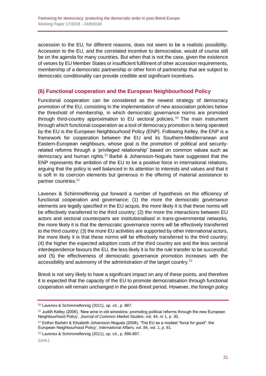accession to the EU, for different reasons, does not seem to be a realistic possibility. Accession to the EU, and the correlated incentive to democratise, would of course still be on the agenda for many countries. But when that is not the case, given the existence of vetoes by EU Member States or insufficient fulfilment of other accession requirements, membership of a democratic partnership or other form of partnership that are subject to democratic conditionality can provide credible and significant incentives.

## <span id="page-20-0"></span>**(6) Functional cooperation and the European Neighbourhood Policy**

Functional cooperation can be considered as the newest strategy of democracy promotion of the EU, consisting in the implementation of new association policies below the threshold of membership, in which democratic governance norms are promoted through third-country approximation to EU sectoral policies. <sup>50</sup> The main instrument through which functional cooperation as a tool of democracy promotion is being operated by the EU is the European Neighbourhood Policy (ENP). Following Kelley, the ENP is a framework for cooperation between the EU and its Southern-Mediterranean and Eastern-European neighbours, whose goal is the promotion of political and securityrelated reforms through a 'privileged relationship' based on common values such as democracy and human rights.<sup>51</sup> Barbé & Johansson-Nogués have suggested that the ENP represents the ambition of the EU to be a positive force in international relations, arguing that the policy is well balanced in its attention to interests and values and that it is soft in its coercion elements but generous in the offering of material assistance to partner countries.<sup>52</sup>

Lavenex & Schimmelfennig put forward a number of hypothesis on the efficiency of functional cooperation and governance: (1) the more the democratic governance elements are legally specified in the EU acquis, the more likely it is that these norms will be effectively transferred to the third country; (2) the more the interactions between EU actors and sectoral counterparts are institutionalised in trans-governmental networks, the more likely it is that the democratic governance norms will be effectively transferred to the third country; (3) the more EU activities are supported by other international actors, the more likely it is that these norms will be effectively transferred to the third country; (4) the higher the expected adoption costs of the third country are and the less sectoral interdependence favours the EU, the less likely it is for the rule transfer to be successful; and (5) the effectiveness of democratic governance promotion increases with the accessibility and autonomy of the administration of the target country.<sup>53</sup>

Brexit is not very likely to have a significant impact on any of these points, and therefore it is expected that the capacity of the EU to promote democratisation through functional cooperation will remain unchanged in the post-Brexit period. However, the foreign policy

<sup>50</sup> Lavenex & Schimmelfennig (2011), *op. cit*., p. 887.

<sup>&</sup>lt;sup>51</sup> Judith Kelley (2006), 'New wine in old wineskins: promoting political reforms through the new European Neighbourhood Policy', *Journal of Common Market Studies*, vol. 44, nr 1, p. 30.

 $52$  Esther Barbén & Elisabeth Johansson-Nogués (2008), 'The EU as a modest "force for good": the European Neighbourhood Policy', *International Affairs*, vol. 84, vol. 1, p. 81.

<sup>53</sup> Lavenex & Schimmelfennig (2011), *op. cit*., p. 896-897.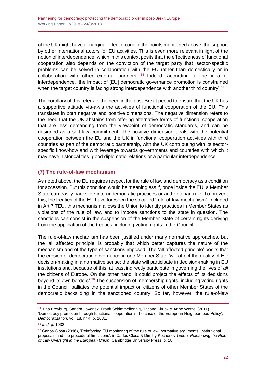of the UK might have a marginal effect on one of the points mentioned above: the support by other international actors for EU activities. This is even more relevant in light of the notion of interdependence, which in this context posits that the effectiveness of functional cooperation also depends on the conviction of the target party that 'sector-specific problems can be solved in collaboration with the EU rather than domestically or in collaboration with other external partners'. <sup>54</sup> Indeed, according to the idea of interdependence, 'the impact of [EU] democratic governance promotion is constrained when the target country is facing strong interdependence with another third country'.<sup>55</sup>

The corollary of this refers to the need in the post-Brexit period to ensure that the UK has a supportive attitude vis-a-vis the activities of functional cooperation of the EU. This translates in both negative and positive dimensions. The negative dimension refers to the need that the UK abstains from offering alternative forms of functional cooperation that are less demanding from the viewpoint of democratic standards, and can be designed as a soft-law commitment. The positive dimension deals with the potential cooperation between the EU and the UK in functional cooperation activities with third countries as part of the democratic partnership, with the UK contributing with its sectorspecific know-how and with leverage towards governments and countries with which it may have historical ties, good diplomatic relations or a particular interdependence.

## <span id="page-21-0"></span>**(7) The rule-of-law mechanism**

As noted above, the EU requires respect for the rule of law and democracy as a condition for accession. But this condition would be meaningless if, once inside the EU, a Member State can easily backslide into undemocratic practices or authoritarian rule. To prevent this, the treaties of the EU have foreseen the so called 'rule-of-law mechanism'. Included in Art.7 TEU, this mechanism allows the Union to identify practices in Member States as violations of the rule of law, and to impose sanctions to the state in question. The sanctions can consist in the suspension of the Member State of certain rights deriving from the application of the treaties, including voting rights in the Council.

The rule-of-law mechanism has been justified under many normative approaches, but the 'all affected principle' is probably that which better captures the nature of the mechanism and of the type of sanctions imposed. The 'all-affected principle' posits that the erosion of democratic governance in one Member State 'will affect the quality of EU decision-making in a normative sense: the state will participate in decision-making in EU institutions and, because of this, at least indirectly participate in governing the lives of *all* the citizens of Europe. On the other hand, it could project the effects of its decisions beyond its own borders'.<sup>56</sup> The suspension of membership rights, including voting rights in the Council, palliates the potential impact on citizens of other Member States of the democratic backsliding in the sanctioned country. So far, however, the rule-of-law

<sup>54</sup> Tina Freyburg, Sandra Lavenex, Frank Schimmelfennig, Tatiana Skripk & Anne Wetzel (2011), 'Democracy promotion through functional cooperation? The case of the European Neighborhood Policy', *Democratization*, vol. 18, nr 4, p. 1031.

<sup>55</sup> *Ibid*, p. 1032.

<sup>56</sup> Carlos Closa (2016), 'Reinforcing EU monitoring of the rule of law: normative arguments, institutional proposals and the procedural limitations', in Carlos Closa & Dimitry Kochenov (Eds.), *Reinforcing the Rule of Law Oversight in the European Union*, Cambridge University Press, p. 18.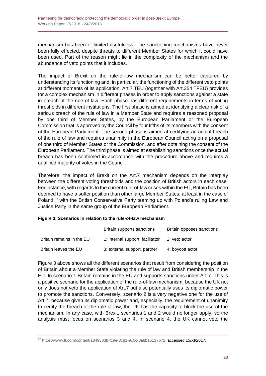mechanism has been of limited usefulness. The sanctioning mechanisms have never been fully effected, despite threats to different Member States for which it could have been used. Part of the reason might lie in the complexity of the mechanism and the abundance of veto points that it includes.

The impact of Brexit on the rule-of-law mechanism can be better captured by understanding its functioning and, in particular, the functioning of the different veto points at different moments of its application. Art.7 TEU (together with Art.354 TFEU) provides for a complex mechanism in different phases in order to apply sanctions against a state in breach of the rule of law. Each phase has different requirements in terms of voting thresholds in different institutions. The first phase is aimed at identifying a clear risk of a serious breach of the rule of law in a Member State and requires a reasoned proposal by one third of Member States, by the European Parliament or the European Commission that is approved by the Council by four fifths of its members with the consent of the European Parliament. The second phase is aimed at certifying an actual breach of the rule of law and requires unanimity in the European Council acting on a proposal of one third of Member States or the Commission, and after obtaining the consent of the European Parliament. The third phase is aimed at establishing sanctions once the actual breach has been confirmed in accordance with the procedure above and requires a qualified majority of votes in the Council.

Therefore, the impact of Brexit on the Art.7 mechanism depends on the interplay between the different voting thresholds and the position of British actors in each case. For instance, with regards to the current rule-of-law crises within the EU, Britain has been deemed to have a softer position than other large Member States, at least in the case of Poland,<sup>57</sup> with the British Conservative Party teaming up with Poland's ruling Law and Justice Party in the same group of the European Parliament.

| Figure 3. Scenarios in relation to the rule-of-law mechanism |  |
|--------------------------------------------------------------|--|
|                                                              |  |

|                           | Britain supports sanctions       | Britain opposes sanctions |
|---------------------------|----------------------------------|---------------------------|
| Britain remains in the EU | 1: internal support, facilitator | 2: veto actor             |
| Britain leaves the EU     | 3: external support, partner     | 4: boycott actor          |

Figure 3 above shows all the different scenarios that result from considering the position of Britain about a Member State violating the rule of law and British membership in the EU. In scenario 1 Britain remains in the EU and supports sanctions under Art.7. This is a positive scenario for the application of the rule-of-law mechanism, because the UK not only does not veto the application of Art.7 but also potentially uses its diplomatic power to promote the sanctions. Conversely, scenario 2 is a very negative one for the use of Art.7, because given its diplomatic power and, especially, the requirement of unanimity to certify the breach of the rule of law, the UK has the capacity to block the use of the mechanism. In any case, with Brexit, scenarios 1 and 2 would no longer apply, so the analysis must focus on scenarios 3 and 4. In scenario 4, the UK cannot veto the

<sup>57</sup> [https://www.ft.com/content/a849303b-fc9e-3c81-9c0c-0a8b15117672,](https://www.ft.com/content/a849303b-fc9e-3c81-9c0c-0a8b15117672) accessed 15/XI/2017.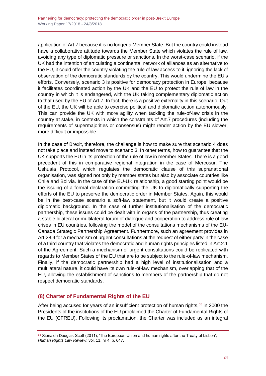application of Art.7 because it is no longer a Member State. But the country could instead have a collaborative attitude towards the Member State which violates the rule of law, avoiding any type of diplomatic pressure or sanctions. In the worst-case scenario, if the UK had the intention of articulating a continental network of alliances as an alternative to the EU, it could offer the country violating the rule of law access to it, ignoring the lack of observation of the democratic standards by the country. This would undermine the EU's efforts. Conversely, scenario 3 is positive for democracy protection in Europe, because it facilitates coordinated action by the UK and the EU to protect the rule of law in the country in which it is endangered, with the UK taking complementary diplomatic action to that used by the EU of Art.7. In fact, there is a positive externality in this scenario. Out of the EU, the UK will be able to exercise political and diplomatic action autonomously. This can provide the UK with more agility when tackling the rule-of-law crisis in the country at stake, in contexts in which the constraints of Art.7 procedures (including the requirements of supermajorities or consensus) might render action by the EU slower, more difficult or impossible.

In the case of Brexit, therefore, the challenge is how to make sure that scenario 4 does not take place and instead move to scenario 3. In other terms, how to guarantee that the UK supports the EU in its protection of the rule of law in member States. There is a good precedent of this in comparative regional integration in the case of Mercosur. The Ushuaia Protocol, which regulates the democratic clause of this supranational organisation, was signed not only by member states but also by associate countries like Chile and Bolivia. In the case of the EU-UK relationship, a good starting point would be the issuing of a formal declaration committing the UK to diplomatically supporting the efforts of the EU to preserve the democratic order in Member States. Again, this would be in the best-case scenario a soft-law statement, but it would create a positive diplomatic background. In the case of further institutionalisation of the democratic partnership, these issues could be dealt with in organs of the partnership, thus creating a stable bilateral or multilateral forum of dialogue and cooperation to address rule of law crises in EU countries, following the model of the consultations mechanisms of the EU-Canada Strategic Partnership Agreement. Furthermore, such an agreement provides in Art.28.4 for a mechanism of urgent consultations at the request of either party in the case of a third country that violates the democratic and human rights principles listed in Art.2.1 of the Agreement. Such a mechanism of urgent consultations could be replicated with regards to Member States of the EU that are to be subject to the rule-of-law mechanism. Finally, if the democratic partnership had a high level of institutionalisation and a multilateral nature, it could have its own rule-of-law mechanism, overlapping that of the EU, allowing the establishment of sanctions to members of the partnership that do not respect democratic standards.

## <span id="page-23-0"></span>**(8) Charter of Fundamental Rights of the EU**

After being accused for years of an insufficient protection of human rights,<sup>58</sup> in 2000 the Presidents of the institutions of the EU proclaimed the Charter of Fundamental Rights of the EU (CFREU). Following its proclamation, the Charter was included as an integral

<sup>58</sup> Sionaidh Douglas-Scott (2011), 'The European Union and human rights after the Treaty of Lisbon', *Human Rights Law Review*, vol. 11, nr 4, p. 647.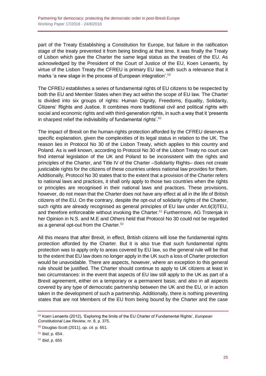part of the Treaty Establishing a Constitution for Europe, but failure in the ratification stage of the treaty prevented it from being binding at that time. It was finally the Treaty of Lisbon which gave the Charter the same legal status as the treaties of the EU. As acknowledged by the President of the Court of Justice of the EU, Koen Lenaerts, by virtue of the Lisbon Treaty the CFREU is primary EU law, with such a relevance that it marks 'a new stage in the process of European integration'.<sup>59</sup>

The CFREU establishes a series of fundamental rights of EU citizens to be respected by both the EU and Member States when they act within the scope of EU law. The Charter is divided into six groups of rights: Human Dignity, Freedoms, Equality, Solidarity, Citizens' Rights and Justice. It combines more traditional civil and political rights with social and economic rights and with third-generation rights, in such a way that it 'presents in sharpest relief the indivisibility of fundamental rights'.<sup>60</sup>

The impact of Brexit on the human-rights protection afforded by the CFREU deserves a specific explanation, given the complexities of its legal status in relation to the UK. The reason lies in Protocol No 30 of the Lisbon Treaty, which applies to this country and Poland. As is well known, according to Protocol No 30 of the Lisbon Treaty no court can find internal legislation of the UK and Poland to be inconsistent with the rights and principles of the Charter, and Title IV of the Charter –Solidarity Rights– does not create justiciable rights for the citizens of these countries unless national law provides for them. Additionally, Protocol No 30 states that to the extent that a provision of the Charter refers to national laws and practices, it shall only apply to those two countries when the rights or principles are recognised in their national laws and practices. These provisions, however, do not mean that the Charter does not have any effect at all in the life of British citizens of the EU. On the contrary, despite the opt-out of solidarity rights of the Charter, such rights are already recognised as general principles of EU law under Art.6(3)TEU, and therefore enforceable without invoking the Charter.<sup>61</sup> Furthermore, AG Trstenjak in her Opinion in N.S. and M.E and Others held that Protocol No 30 could not be regarded as a general opt-out from the Charter.<sup>62</sup>

All this means that after Brexit, in effect, British citizens will lose the fundamental rights protection afforded by the Charter. But it is also true that such fundamental rights protection was to apply only to areas covered by EU law, so the general rule will be that to the extent that EU law does no longer apply in the UK such a loss of Charter protection would be unavoidable. There are aspects, however, where an exception to this general rule should be justified. The Charter should continue to apply to UK citizens at least in two circumstances: in the event that aspects of EU law still apply to the UK as part of a Brexit agreement, either on a temporary or a permanent basis; and also in all aspects covered by any type of democratic partnership between the UK and the EU, or in action taken in the development of such a partnership. Additionally, there is nothing preventing states that are not Members of the EU from being bound by the Charter and the case

<sup>59</sup> Koen Lenaerts (2012), 'Exploring the limits of the EU Charter of Fundamental Rights', *European Constitutional Law Review*, nr. 8, p. 375.

<sup>60</sup> Douglas-Scott (2011), *op. cit*. p. 651.

<sup>61</sup> *Ibid*, p. 654.

<sup>62</sup> *Ibid*, p. 655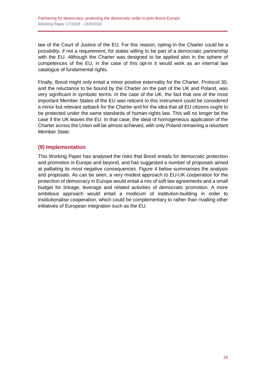law of the Court of Justice of the EU. For this reason, opting-in the Charter could be a possibility, if not a requirement, for states willing to be part of a democratic partnership with the EU. Although the Charter was designed to be applied also in the sphere of competences of the EU, in the case of this opt-in it would work as an internal law catalogue of fundamental rights.

Finally, Brexit might only entail a minor positive externality for the Charter. Protocol 30, and the reluctance to be bound by the Charter on the part of the UK and Poland, was very significant in symbolic terms. In the case of the UK, the fact that one of the most important Member States of the EU was reticent to this instrument could be considered a minor but relevant setback for the Charter and for the idea that all EU citizens ought to be protected under the same standards of human-rights law. This will no longer be the case if the UK leaves the EU. In that case, the ideal of homogeneous application of the Charter across the Union will be almost achieved, with only Poland remaining a reluctant Member State.

## <span id="page-25-0"></span>**(9) Implementation**

This Working Paper has analysed the risks that Brexit entails for democratic protection and promotion in Europe and beyond, and has suggested a number of proposals aimed at palliating its most negative consequences. Figure 4 below summarises the analysis and proposals. As can be seen, a very modest approach to EU-UK cooperation for the protection of democracy in Europe would entail a mix of soft law agreements and a small budget for linkage, leverage and related activities of democratic promotion. A more ambitious approach would entail a modicum of institution-building in order to institutionalise cooperation, which could be complementary to rather than rivalling other initiatives of European integration such as the EU.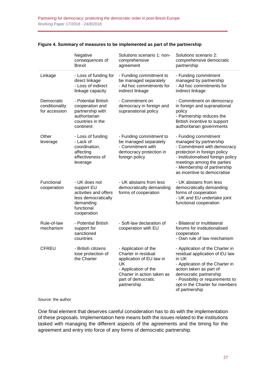|                                               | Negative<br>consequences of<br><b>Brexit</b>                                                                          | Solutions scenario 1: non-<br>comprehensive<br>agreement                                                                                                                 | Solutions scenario 2:<br>comprehensive democratic<br>partnership                                                                                                                                                                                           |
|-----------------------------------------------|-----------------------------------------------------------------------------------------------------------------------|--------------------------------------------------------------------------------------------------------------------------------------------------------------------------|------------------------------------------------------------------------------------------------------------------------------------------------------------------------------------------------------------------------------------------------------------|
| Linkage                                       | - Loss of funding for<br>direct linkage<br>- Loss of indirect<br>linkage capacity                                     | - Funding commitment to<br>be managed separately<br>- Ad hoc commitments for<br>indirect linkage                                                                         | - Funding commitment<br>managed by partnership<br>- Ad hoc commitments for<br>indirect linkage                                                                                                                                                             |
| Democratic<br>conditionality<br>for accession | - Potential British<br>cooperation and<br>partnership with<br>authoritarian<br>countries in the<br>continent          | - Commitment on<br>democracy in foreign and<br>supranational policy                                                                                                      | - Commitment on democracy<br>in foreign and supranational<br>policy<br>- Partnership reduces the<br>British incentive to support<br>authoritarian governments                                                                                              |
| Other<br>leverage                             | - Loss of funding<br>- Lack of<br>coordination,<br>affecting<br>effectiveness of<br>leverage                          | - Funding commitment to<br>be managed separately<br>- Commitment with<br>democracy protection in<br>foreign policy                                                       | - Funding commitment<br>managed by partnership<br>- Commitment with democracy<br>protection in foreign policy<br>- institutionalised foreign policy<br>meetings among the parties<br>- Membership of partnership<br>as incentive to democratise            |
| Functional<br>cooperation                     | - UK does not<br>support EU<br>activities and offers<br>less democratically<br>demanding<br>functional<br>cooperation | - UK abstains from less<br>democratically demanding<br>forms of cooperation                                                                                              | - UK abstains from less<br>democratically demanding<br>forms of cooperation<br>- UK and EU undertake joint<br>functional cooperation                                                                                                                       |
| Rule-of-law<br>mechanism                      | - Potential British<br>support for<br>sanctioned<br>countries                                                         | - Soft-law declaration of<br>cooperation with EU                                                                                                                         | - Bilateral or multilateral<br>forums for institutionalised<br>cooperation<br>- Own rule of law mechanism                                                                                                                                                  |
| <b>CFREU</b>                                  | - British citizens<br>lose protection of<br>the Charter                                                               | - Application of the<br>Charter in residual<br>application of EU law in<br>UK<br>- Application of the<br>Charter in action taken as<br>part of democratic<br>partnership | - Application of the Charter in<br>residual application of EU law<br>in UK<br>- Application of the Charter in<br>action taken as part of<br>democratic partnership<br>- Possibility or requirements to<br>opt-in the Charter for members<br>of partnership |

#### **Figure 4. Summary of measures to be implemented as part of the partnership**

#### Source: the author

One final element that deserves careful consideration has to do with the implementation of these proposals. Implementation here means both the issues related to the institutions tasked with managing the different aspects of the agreements and the timing for the agreement and entry into force of any forms of democratic partnership.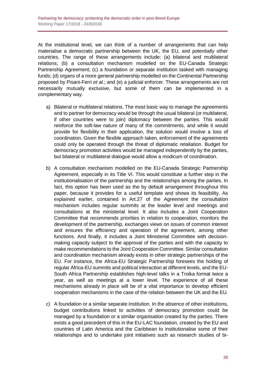At the institutional level, we can think of a number of arrangements that can help materialise a democratic partnership between the UK, the EU, and potentially other countries. The range of these arrangements include: (a) bilateral and multilateral relations; (b) a consultation mechanism modelled on the EU-Canada Strategic Partnership Agreement; (c) a foundation or separate institution tasked with managing funds; (d) organs of a more general partnership modelled on the Continental Partnership proposed by Pisani-Ferri *et al*.; and (e) a judicial enforcer. These arrangements are not necessarily mutually exclusive, but some of them can be implemented in a complementary way.

- a) Bilateral or multilateral relations. The most basic way to manage the agreements and to partner for democracy would be through the usual bilateral (or multilateral, if other countries were to join) diplomacy between the parties. This would reinforce the soft-law nature of many of the commitments, and while it would provide for flexibility in their application, the solution would involve a loss of coordination. Given the flexible approach taken, enforcement of the agreements could only be operated through the threat of diplomatic retaliation. Budget for democracy promotion activities would be managed independently by the parties, but bilateral or multilateral dialogue would allow a modicum of coordination.
- b) A consultation mechanism modelled on the EU-Canada Strategic Partnership Agreement, especially in its Title VI. This would constitute a further step in the institutionalisation of the partnership and the relationships among the parties. In fact, this option has been used as the by default arrangement throughout this paper, because it provides for a useful template and shows its feasibility. As explained earlier, contained in Art.27 of the Agreement the consultation mechanism includes regular summits at the leader level and meetings and consultations at the ministerial level. It also includes a Joint Cooperation Committee that recommends priorities in relation to cooperation, monitors the development of the partnership, exchanges views on issues of common interest and ensures the efficiency and operation of the agreement, among other functions. And finally, it includes a Joint Ministerial Committee with decisionmaking capacity subject to the approval of the parties and with the capacity to make recommendations to the Joint Cooperation Committee. Similar consultation and coordination mechanism already exists in other strategic partnerships of the EU. For instance, the Africa-EU Strategic Partnership foresees the holding of regular Africa-EU summits and political interaction at different levels, and the EU-South Africa Partnership establishes high-level talks in a Troika format twice a year, as well as meetings at a lower level. The experience of all these mechanisms already in place will be of a vital importance to develop efficient cooperation mechanisms in the case of the relation between the UK and the EU.
- c) A foundation or a similar separate institution. In the absence of other institutions, budget contributions linked to activities of democracy promotion could be managed by a foundation or a similar organisation created by the parties. There exists a good precedent of this in the EU-LAC foundation, created by the EU and countries of Latin America and the Caribbean to institutionalise some of their relationships and to undertake joint initiatives such as research studies of bi-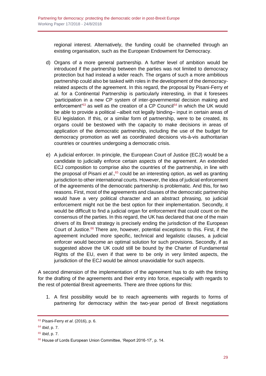regional interest. Alternatively, the funding could be channelled through an existing organisation, such as the European Endowment for Democracy.

- d) Organs of a more general partnership. A further level of ambition would be introduced if the partnership between the parties was not limited to democracy protection but had instead a wider reach. The organs of such a more ambitious partnership could also be tasked with roles in the development of the democracyrelated aspects of the agreement. In this regard, the proposal by Pisani-Ferry *et al*. for a Continental Partnership is particularly interesting, in that it foresees 'participation in a new CP system of inter-governmental decision making and enforcement<sup>'63</sup> as well as the creation of a CP Council<sup>64</sup> in which the UK would be able to provide a political –albeit not legally binding– input in certain areas of EU legislation. If this, or a similar form of partnership, were to be created, its organs could be bestowed with the capacity to make decisions in areas of application of the democratic partnership, including the use of the budget for democracy promotion as well as coordinated decisions vis-à-vis authoritarian countries or countries undergoing a democratic crisis.
- e) A judicial enforcer. In principle, the European Court of Justice (ECJ) would be a candidate to judicially enforce certain aspects of the agreement. An extended ECJ composition to comprise also the countries of the partnership, in line with the proposal of Pisani *et al*., <sup>65</sup> could be an interesting option, as well as granting jurisdiction to other international courts. However, the idea of judicial enforcement of the agreements of the democratic partnership is problematic. And this, for two reasons. First, most of the agreements and clauses of the democratic partnership would have a very political character and an abstract phrasing, so judicial enforcement might not be the best option for their implementation. Secondly, it would be difficult to find a judicial organ for enforcement that could count on the consensus of the parties. In this regard, the UK has declared that one of the main drivers of its Brexit strategy is precisely ending the jurisdiction of the European Court of Justice.<sup>66</sup> There are, however, potential exceptions to this. First, if the agreement included more specific, technical and legalistic clauses, a judicial enforcer would become an optimal solution for such provisions. Secondly, if as suggested above the UK could still be bound by the Charter of Fundamental Rights of the EU, even if that were to be only in very limited aspects, the jurisdiction of the ECJ would be almost unavoidable for such aspects.

A second dimension of the implementation of the agreement has to do with the timing for the drafting of the agreements and their entry into force, especially with regards to the rest of potential Brexit agreements. There are three options for this:

1. A first possibility would be to reach agreements with regards to forms of partnering for democracy within the two-year period of Brexit negotiations

<sup>63</sup> Pisani-Ferry *et al*. (2016), p. 6.

<sup>64</sup> *Ibid*, p. 7.

<sup>65</sup> *Ibid*, p. 7.

<sup>66</sup> House of Lords European Union Committee, 'Report 2016-17', p. 14.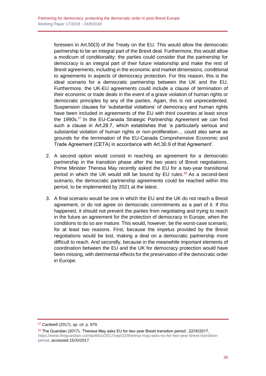foreseen in Art.50(3) of the Treaty on the EU. This would allow the democratic partnership to be an integral part of the Brexit deal. Furthermore, this would allow a modicum of conditionality: the parties could consider that the partnership for democracy is an integral part of their future relationship and make the rest of Brexit agreements, including in the economic and market dimensions, conditional to agreements in aspects of democracy protection. For this reason, this is the ideal scenario for a democratic partnership between the UK and the EU. Furthermore, the UK-EU agreements could include a clause of termination of their economic or trade deals in the event of a grave violation of human rights or democratic principles by any of the parties. Again, this is not unprecedented. Suspension clauses for 'substantial violations' of democracy and human rights have been included in agreements of the EU with third countries at least since the 1990s.<sup>67</sup> In the EU-Canada Strategic Partnership Agreement we can find such a clause in Art.28.7, which establishes that 'a particularly serious and substantial violation of human rights or non-proliferation… could also serve as grounds for the termination of the EU-Canada Comprehensive Economic and Trade Agreement (CETA) in accordance with Art.30.9 of that Agreement'.

- 2. A second option would consist in reaching an agreement for a democratic partnership in the transition phase after the two years of Brexit negotiations. Prime Minister Theresa May recently asked the EU for a two-year transitional period in which the UK would still be bound by EU rules. $68$  As a second-best scenario, the democratic partnership agreements could be reached within this period, to be implemented by 2021 at the latest.
- 3. A final scenario would be one in which the EU and the UK do not reach a Brexit agreement, or do not agree on democratic commitments as a part of it. If this happened, it should not prevent the parties from negotiating and trying to reach in the future an agreement for the protection of democracy in Europe, when the conditions to do so are mature. This would, however, be the worst-case scenario, for at least two reasons. First, because the impetus provided by the Brexit negotiations would be lost, making a deal on a democratic partnership more difficult to reach. And secondly, because in the meanwhile important elements of coordination between the EU and the UK for democracy protection would have been missing, with detrimental effects for the preservation of the democratic order in Europe.

<sup>67</sup> Cardwell (2017), *op. cit*. p. 879.

<sup>68</sup> The Guardian (2017), 'Theresa May asks EU for two-year Brexit transition period', 22/IX/2017, [https://www.theguardian.com/politics/2017/sep/22/theresa-may-asks-eu-for-two-year-brexit-transition](https://www.theguardian.com/politics/2017/sep/22/theresa-may-asks-eu-for-two-year-brexit-transition-period)[period,](https://www.theguardian.com/politics/2017/sep/22/theresa-may-asks-eu-for-two-year-brexit-transition-period) accessed 15/XI/2017.